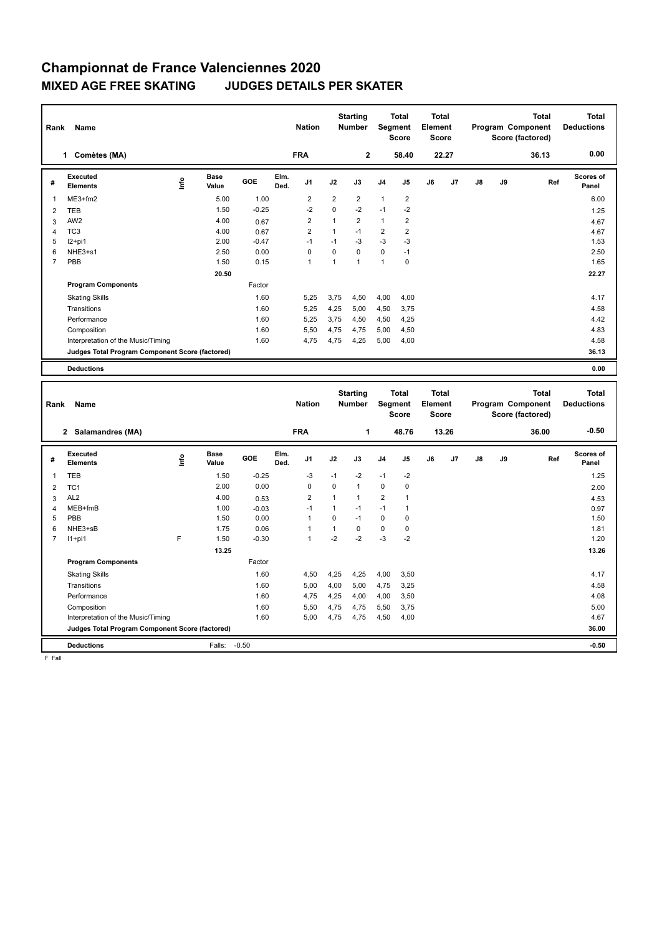## **Championnat de France Valenciennes 2020 MIXED AGE FREE SKATING JUDGES DETAILS PER SKATER**

| Name<br>Rank   |                                                 |      |               |            |              | <b>Nation</b>  |                | <b>Starting</b><br><b>Number</b> |                | <b>Total</b><br>Segment<br><b>Score</b> |    | <b>Total</b><br>Element<br><b>Score</b> |    |    | <b>Total</b><br>Program Component<br>Score (factored) | <b>Total</b><br><b>Deductions</b> |
|----------------|-------------------------------------------------|------|---------------|------------|--------------|----------------|----------------|----------------------------------|----------------|-----------------------------------------|----|-----------------------------------------|----|----|-------------------------------------------------------|-----------------------------------|
|                | Comètes (MA)<br>1                               |      |               |            |              | <b>FRA</b>     |                | $\overline{2}$                   |                | 58.40                                   |    | 22.27                                   |    |    | 36.13                                                 | 0.00                              |
| #              | Executed<br><b>Elements</b>                     | lnfo | Base<br>Value | <b>GOE</b> | Elm.<br>Ded. | J <sub>1</sub> | J2             | J3                               | J <sub>4</sub> | J <sub>5</sub>                          | J6 | J <sub>7</sub>                          | J8 | J9 | Ref                                                   | <b>Scores of</b><br>Panel         |
| $\mathbf{1}$   | ME3+fm2                                         |      | 5.00          | 1.00       |              | $\overline{2}$ | $\overline{2}$ | $\overline{2}$                   | $\mathbf{1}$   | $\overline{2}$                          |    |                                         |    |    |                                                       | 6.00                              |
| 2              | <b>TEB</b>                                      |      | 1.50          | $-0.25$    |              | $-2$           | $\mathbf 0$    | $-2$                             | $-1$           | $-2$                                    |    |                                         |    |    |                                                       | 1.25                              |
| 3              | AW <sub>2</sub>                                 |      | 4.00          | 0.67       |              | $\overline{2}$ | 1              | $\overline{2}$                   | $\mathbf{1}$   | 2                                       |    |                                         |    |    |                                                       | 4.67                              |
| 4              | TC <sub>3</sub>                                 |      | 4.00          | 0.67       |              | $\overline{2}$ | 1              | $-1$                             | $\overline{2}$ | $\overline{\mathbf{c}}$                 |    |                                         |    |    |                                                       | 4.67                              |
| 5              | $12+pi1$                                        |      | 2.00          | $-0.47$    |              | $-1$           | $-1$           | $-3$                             | $-3$           | $-3$                                    |    |                                         |    |    |                                                       | 1.53                              |
| 6              | $NHE3+s1$                                       |      | 2.50          | 0.00       |              | $\Omega$       | $\Omega$       | $\Omega$                         | $\mathbf 0$    | $-1$                                    |    |                                         |    |    |                                                       | 2.50                              |
| $\overline{7}$ | PBB                                             |      | 1.50          | 0.15       |              | $\overline{1}$ | 1              | 1                                | 1              | 0                                       |    |                                         |    |    |                                                       | 1.65                              |
|                |                                                 |      | 20.50         |            |              |                |                |                                  |                |                                         |    |                                         |    |    |                                                       | 22.27                             |
|                | <b>Program Components</b>                       |      |               | Factor     |              |                |                |                                  |                |                                         |    |                                         |    |    |                                                       |                                   |
|                | <b>Skating Skills</b>                           |      |               | 1.60       |              | 5,25           | 3,75           | 4,50                             | 4,00           | 4,00                                    |    |                                         |    |    |                                                       | 4.17                              |
|                | Transitions                                     |      |               | 1.60       |              | 5,25           | 4,25           | 5,00                             | 4,50           | 3,75                                    |    |                                         |    |    |                                                       | 4.58                              |
|                | Performance                                     |      |               | 1.60       |              | 5,25           | 3.75           | 4,50                             | 4,50           | 4,25                                    |    |                                         |    |    |                                                       | 4.42                              |
|                | Composition                                     |      |               | 1.60       |              | 5,50           | 4,75           | 4,75                             | 5,00           | 4,50                                    |    |                                         |    |    |                                                       | 4.83                              |
|                | Interpretation of the Music/Timing              |      |               | 1.60       |              | 4,75           | 4,75           | 4,25                             | 5,00           | 4,00                                    |    |                                         |    |    |                                                       | 4.58                              |
|                | Judges Total Program Component Score (factored) |      |               |            |              |                |                |                                  |                |                                         |    |                                         |    |    |                                                       | 36.13                             |
|                | <b>Deductions</b>                               |      |               |            |              |                |                |                                  |                |                                         |    |                                         |    |    |                                                       | 0.00                              |

| Rank           | Name                                            |      |                      |         |              | <b>Nation</b>  |              | <b>Starting</b><br><b>Number</b> |                | <b>Total</b><br>Segment<br><b>Score</b> | Total<br>Element<br><b>Score</b> |       |               |    | <b>Total</b><br>Program Component<br>Score (factored) | Total<br><b>Deductions</b> |
|----------------|-------------------------------------------------|------|----------------------|---------|--------------|----------------|--------------|----------------------------------|----------------|-----------------------------------------|----------------------------------|-------|---------------|----|-------------------------------------------------------|----------------------------|
|                | Salamandres (MA)<br>$\mathbf{2}$                |      |                      |         |              | <b>FRA</b>     |              | 1                                |                | 48.76                                   |                                  | 13.26 |               |    | 36.00                                                 | $-0.50$                    |
| #              | Executed<br><b>Elements</b>                     | ١nf٥ | <b>Base</b><br>Value | GOE     | Elm.<br>Ded. | J <sub>1</sub> | J2           | J3                               | J <sub>4</sub> | J5                                      | J6                               | J7    | $\mathsf{J}8$ | J9 | Ref                                                   | <b>Scores of</b><br>Panel  |
| 1              | TEB                                             |      | 1.50                 | $-0.25$ |              | $-3$           | $-1$         | $-2$                             | $-1$           | $-2$                                    |                                  |       |               |    |                                                       | 1.25                       |
| $\overline{2}$ | TC <sub>1</sub>                                 |      | 2.00                 | 0.00    |              | 0              | 0            | $\overline{1}$                   | $\mathbf 0$    | 0                                       |                                  |       |               |    |                                                       | 2.00                       |
| 3              | AL <sub>2</sub>                                 |      | 4.00                 | 0.53    |              | 2              | 1            | $\mathbf{1}$                     | $\overline{2}$ | 1                                       |                                  |       |               |    |                                                       | 4.53                       |
| $\overline{4}$ | MEB+fmB                                         |      | 1.00                 | $-0.03$ |              | $-1$           | 1            | $-1$                             | $-1$           | 1                                       |                                  |       |               |    |                                                       | 0.97                       |
| 5              | PBB                                             |      | 1.50                 | 0.00    |              | 1              | 0            | $-1$                             | 0              | 0                                       |                                  |       |               |    |                                                       | 1.50                       |
| 6              | NHE3+sB                                         |      | 1.75                 | 0.06    |              | 1              | $\mathbf{1}$ | 0                                | 0              | 0                                       |                                  |       |               |    |                                                       | 1.81                       |
| 7              | $11+pi1$                                        | F    | 1.50                 | $-0.30$ |              | 1              | $-2$         | $-2$                             | $-3$           | $-2$                                    |                                  |       |               |    |                                                       | 1.20                       |
|                |                                                 |      | 13.25                |         |              |                |              |                                  |                |                                         |                                  |       |               |    |                                                       | 13.26                      |
|                | <b>Program Components</b>                       |      |                      | Factor  |              |                |              |                                  |                |                                         |                                  |       |               |    |                                                       |                            |
|                | <b>Skating Skills</b>                           |      |                      | 1.60    |              | 4,50           | 4,25         | 4,25                             | 4,00           | 3,50                                    |                                  |       |               |    |                                                       | 4.17                       |
|                | Transitions                                     |      |                      | 1.60    |              | 5,00           | 4,00         | 5,00                             | 4,75           | 3,25                                    |                                  |       |               |    |                                                       | 4.58                       |
|                | Performance                                     |      |                      | 1.60    |              | 4,75           | 4,25         | 4,00                             | 4,00           | 3,50                                    |                                  |       |               |    |                                                       | 4.08                       |
|                | Composition                                     |      |                      | 1.60    |              | 5,50           | 4,75         | 4,75                             | 5,50           | 3,75                                    |                                  |       |               |    |                                                       | 5.00                       |
|                | Interpretation of the Music/Timing              |      |                      | 1.60    |              | 5,00           | 4,75         | 4,75                             | 4,50           | 4,00                                    |                                  |       |               |    |                                                       | 4.67                       |
|                | Judges Total Program Component Score (factored) |      |                      |         |              |                |              |                                  |                |                                         |                                  |       |               |    |                                                       | 36.00                      |
|                | <b>Deductions</b>                               |      | Falls:               | $-0.50$ |              |                |              |                                  |                |                                         |                                  |       |               |    |                                                       | $-0.50$                    |

F Fall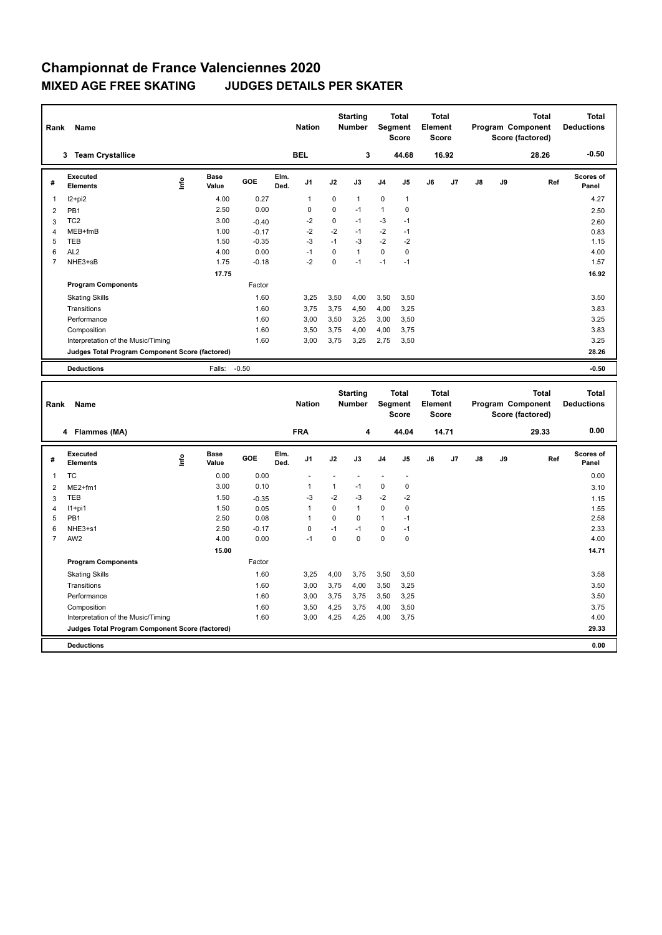## **Championnat de France Valenciennes 2020 MIXED AGE FREE SKATING JUDGES DETAILS PER SKATER**

| Rank           | Name                                            |      |                      |         |              | <b>Nation</b>  |             | <b>Starting</b><br><b>Number</b> |                | <b>Total</b><br>Segment<br><b>Score</b> | <b>Total</b><br>Element<br><b>Score</b> |                |               |    | <b>Total</b><br>Program Component<br>Score (factored) | <b>Total</b><br><b>Deductions</b> |
|----------------|-------------------------------------------------|------|----------------------|---------|--------------|----------------|-------------|----------------------------------|----------------|-----------------------------------------|-----------------------------------------|----------------|---------------|----|-------------------------------------------------------|-----------------------------------|
|                | <b>Team Crystallice</b><br>3                    |      |                      |         |              | <b>BEL</b>     |             | 3                                |                | 44.68                                   |                                         | 16.92          |               |    | 28.26                                                 | $-0.50$                           |
| #              | Executed<br><b>Elements</b>                     | lnfo | <b>Base</b><br>Value | GOE     | Elm.<br>Ded. | J <sub>1</sub> | J2          | J3                               | J <sub>4</sub> | J5                                      | J6                                      | J <sub>7</sub> | $\mathsf{J}8$ | J9 | Ref                                                   | <b>Scores of</b><br>Panel         |
| 1              | I2+pi2                                          |      | 4.00                 | 0.27    |              | $\mathbf{1}$   | $\mathbf 0$ | 1                                | $\mathbf 0$    | $\mathbf{1}$                            |                                         |                |               |    |                                                       | 4.27                              |
| $\overline{2}$ | PB <sub>1</sub>                                 |      | 2.50                 | 0.00    |              | 0              | $\mathbf 0$ | $-1$                             | $\mathbf{1}$   | 0                                       |                                         |                |               |    |                                                       | 2.50                              |
| 3              | TC <sub>2</sub>                                 |      | 3.00                 | $-0.40$ |              | $-2$           | 0           | $-1$                             | $-3$           | $-1$                                    |                                         |                |               |    |                                                       | 2.60                              |
| $\overline{4}$ | MEB+fmB                                         |      | 1.00                 | $-0.17$ |              | $-2$           | $-2$        | $-1$                             | $-2$           | $-1$                                    |                                         |                |               |    |                                                       | 0.83                              |
| 5              | <b>TEB</b>                                      |      | 1.50                 | $-0.35$ |              | $-3$           | $-1$        | -3                               | $-2$           | $-2$                                    |                                         |                |               |    |                                                       | 1.15                              |
| 6              | AL <sub>2</sub>                                 |      | 4.00                 | 0.00    |              | $-1$           | $\Omega$    | 1                                | $\Omega$       | 0                                       |                                         |                |               |    |                                                       | 4.00                              |
| 7              | NHE3+sB                                         |      | 1.75                 | $-0.18$ |              | $-2$           | $\Omega$    | $-1$                             | $-1$           | $-1$                                    |                                         |                |               |    |                                                       | 1.57                              |
|                |                                                 |      | 17.75                |         |              |                |             |                                  |                |                                         |                                         |                |               |    |                                                       | 16.92                             |
|                | <b>Program Components</b>                       |      |                      | Factor  |              |                |             |                                  |                |                                         |                                         |                |               |    |                                                       |                                   |
|                | <b>Skating Skills</b>                           |      |                      | 1.60    |              | 3.25           | 3,50        | 4.00                             | 3,50           | 3,50                                    |                                         |                |               |    |                                                       | 3.50                              |
|                | Transitions                                     |      |                      | 1.60    |              | 3,75           | 3,75        | 4,50                             | 4,00           | 3,25                                    |                                         |                |               |    |                                                       | 3.83                              |
|                | Performance                                     |      |                      | 1.60    |              | 3,00           | 3,50        | 3.25                             | 3,00           | 3,50                                    |                                         |                |               |    |                                                       | 3.25                              |
|                | Composition                                     |      |                      | 1.60    |              | 3,50           | 3,75        | 4.00                             | 4,00           | 3,75                                    |                                         |                |               |    |                                                       | 3.83                              |
|                | Interpretation of the Music/Timing              |      |                      | 1.60    |              | 3,00           | 3,75        | 3,25                             | 2,75           | 3,50                                    |                                         |                |               |    |                                                       | 3.25                              |
|                | Judges Total Program Component Score (factored) |      |                      |         |              |                |             |                                  |                |                                         |                                         |                |               |    |                                                       | 28.26                             |
|                | <b>Deductions</b>                               |      | Falls:               | $-0.50$ |              |                |             |                                  |                |                                         |                                         |                |               |    |                                                       | $-0.50$                           |

| Rank                    | Name                                            |      |                      |         |              | <b>Nation</b>  |          | <b>Starting</b><br><b>Number</b> |                | <b>Total</b><br>Segment<br><b>Score</b> | <b>Total</b><br>Element<br><b>Score</b> |                |    |    | <b>Total</b><br>Program Component<br>Score (factored) | <b>Total</b><br><b>Deductions</b> |
|-------------------------|-------------------------------------------------|------|----------------------|---------|--------------|----------------|----------|----------------------------------|----------------|-----------------------------------------|-----------------------------------------|----------------|----|----|-------------------------------------------------------|-----------------------------------|
|                         | 4 Flammes (MA)                                  |      |                      |         |              | <b>FRA</b>     |          | 4                                |                | 44.04                                   |                                         | 14.71          |    |    | 29.33                                                 | 0.00                              |
| #                       | Executed<br><b>Elements</b>                     | ١nf٥ | <b>Base</b><br>Value | GOE     | Elm.<br>Ded. | J <sub>1</sub> | J2       | J3                               | J <sub>4</sub> | J <sub>5</sub>                          | J6                                      | J <sub>7</sub> | J8 | J9 | Ref                                                   | <b>Scores of</b><br>Panel         |
| $\overline{\mathbf{1}}$ | <b>TC</b>                                       |      | 0.00                 | 0.00    |              |                |          |                                  |                | ٠                                       |                                         |                |    |    |                                                       | 0.00                              |
| $\overline{2}$          | $ME2+fm1$                                       |      | 3.00                 | 0.10    |              | -1             | 1        | $-1$                             | 0              | 0                                       |                                         |                |    |    |                                                       | 3.10                              |
| 3                       | <b>TEB</b>                                      |      | 1.50                 | $-0.35$ |              | -3             | $-2$     | -3                               | $-2$           | $-2$                                    |                                         |                |    |    |                                                       | 1.15                              |
| 4                       | $11+pi1$                                        |      | 1.50                 | 0.05    |              | $\overline{1}$ | 0        | $\mathbf{1}$                     | $\mathbf 0$    | 0                                       |                                         |                |    |    |                                                       | 1.55                              |
| 5                       | PB <sub>1</sub>                                 |      | 2.50                 | 0.08    |              | -1             | $\Omega$ | $\Omega$                         | $\mathbf{1}$   | $-1$                                    |                                         |                |    |    |                                                       | 2.58                              |
| 6                       | NHE3+s1                                         |      | 2.50                 | $-0.17$ |              | $\mathbf 0$    | $-1$     | $-1$                             | 0              | $-1$                                    |                                         |                |    |    |                                                       | 2.33                              |
| $\overline{7}$          | AW <sub>2</sub>                                 |      | 4.00                 | 0.00    |              | $-1$           | 0        | $\Omega$                         | $\mathbf 0$    | $\mathbf 0$                             |                                         |                |    |    |                                                       | 4.00                              |
|                         |                                                 |      | 15.00                |         |              |                |          |                                  |                |                                         |                                         |                |    |    |                                                       | 14.71                             |
|                         | <b>Program Components</b>                       |      |                      | Factor  |              |                |          |                                  |                |                                         |                                         |                |    |    |                                                       |                                   |
|                         | <b>Skating Skills</b>                           |      |                      | 1.60    |              | 3,25           | 4,00     | 3,75                             | 3,50           | 3,50                                    |                                         |                |    |    |                                                       | 3.58                              |
|                         | Transitions                                     |      |                      | 1.60    |              | 3,00           | 3,75     | 4,00                             | 3,50           | 3,25                                    |                                         |                |    |    |                                                       | 3.50                              |
|                         | Performance                                     |      |                      | 1.60    |              | 3,00           | 3,75     | 3,75                             | 3,50           | 3,25                                    |                                         |                |    |    |                                                       | 3.50                              |
|                         | Composition                                     |      |                      | 1.60    |              | 3,50           | 4,25     | 3,75                             | 4,00           | 3,50                                    |                                         |                |    |    |                                                       | 3.75                              |
|                         | Interpretation of the Music/Timing              |      |                      | 1.60    |              | 3,00           | 4,25     | 4,25                             | 4,00           | 3,75                                    |                                         |                |    |    |                                                       | 4.00                              |
|                         | Judges Total Program Component Score (factored) |      |                      |         |              |                |          |                                  |                |                                         |                                         |                |    |    |                                                       | 29.33                             |
|                         | <b>Deductions</b>                               |      |                      |         |              |                |          |                                  |                |                                         |                                         |                |    |    |                                                       | 0.00                              |